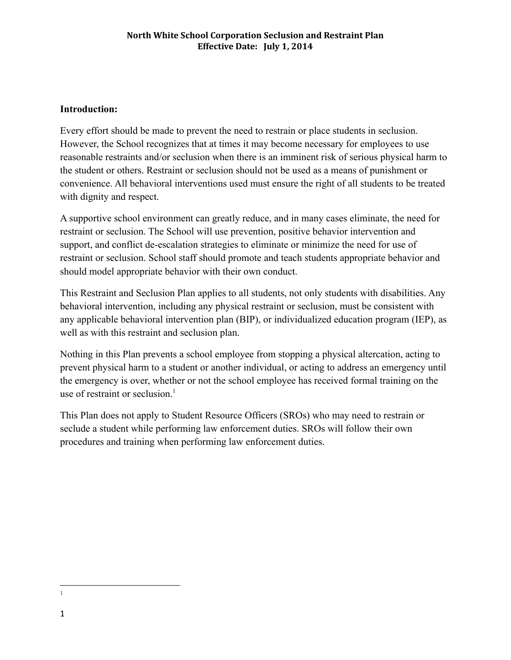## **Introduction:**

Every effort should be made to prevent the need to restrain or place students in seclusion. However, the School recognizes that at times it may become necessary for employees to use reasonable restraints and/or seclusion when there is an imminent risk of serious physical harm to the student or others. Restraint or seclusion should not be used as a means of punishment or convenience. All behavioral interventions used must ensure the right of all students to be treated with dignity and respect.

A supportive school environment can greatly reduce, and in many cases eliminate, the need for restraint or seclusion. The School will use prevention, positive behavior intervention and support, and conflict de-escalation strategies to eliminate or minimize the need for use of restraint or seclusion. School staff should promote and teach students appropriate behavior and should model appropriate behavior with their own conduct.

This Restraint and Seclusion Plan applies to all students, not only students with disabilities. Any behavioral intervention, including any physical restraint or seclusion, must be consistent with any applicable behavioral intervention plan (BIP), or individualized education program (IEP), as well as with this restraint and seclusion plan.

Nothing in this Plan prevents a school employee from stopping a physical altercation, acting to prevent physical harm to a student or another individual, or acting to address an emergency until the emergency is over, whether or not the school employee has received formal training on the use of restraint or seclusion. $<sup>1</sup>$ </sup>

This Plan does not apply to Student Resource Officers (SROs) who may need to restrain or seclude a student while performing law enforcement duties. SROs will follow their own procedures and training when performing law enforcement duties.

<sup>1</sup>

<sup>1</sup>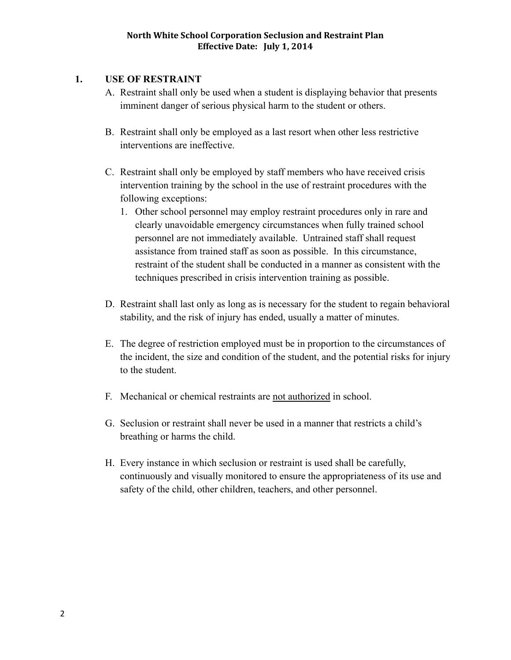## **1. USE OF RESTRAINT**

- A. Restraint shall only be used when a student is displaying behavior that presents imminent danger of serious physical harm to the student or others.
- B. Restraint shall only be employed as a last resort when other less restrictive interventions are ineffective.
- C. Restraint shall only be employed by staff members who have received crisis intervention training by the school in the use of restraint procedures with the following exceptions:
	- 1. Other school personnel may employ restraint procedures only in rare and clearly unavoidable emergency circumstances when fully trained school personnel are not immediately available. Untrained staff shall request assistance from trained staff as soon as possible. In this circumstance, restraint of the student shall be conducted in a manner as consistent with the techniques prescribed in crisis intervention training as possible.
- D. Restraint shall last only as long as is necessary for the student to regain behavioral stability, and the risk of injury has ended, usually a matter of minutes.
- E. The degree of restriction employed must be in proportion to the circumstances of the incident, the size and condition of the student, and the potential risks for injury to the student.
- F. Mechanical or chemical restraints are not authorized in school.
- G. Seclusion or restraint shall never be used in a manner that restricts a child's breathing or harms the child.
- H. Every instance in which seclusion or restraint is used shall be carefully, continuously and visually monitored to ensure the appropriateness of its use and safety of the child, other children, teachers, and other personnel.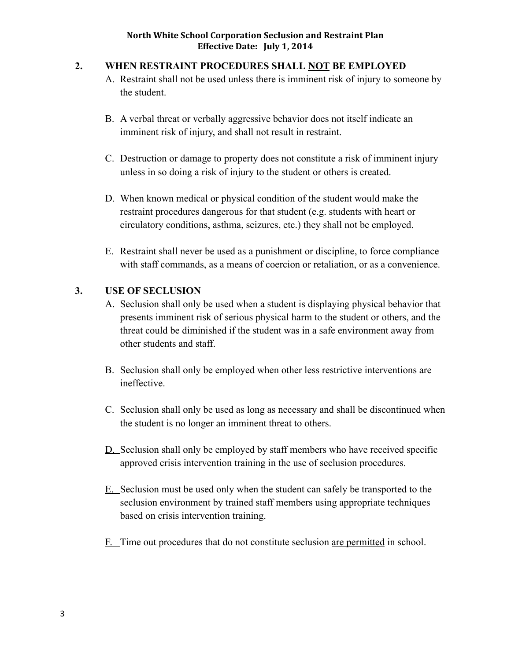#### **2. WHEN RESTRAINT PROCEDURES SHALL NOT BE EMPLOYED**

- A. Restraint shall not be used unless there is imminent risk of injury to someone by the student.
- B. A verbal threat or verbally aggressive behavior does not itself indicate an imminent risk of injury, and shall not result in restraint.
- C. Destruction or damage to property does not constitute a risk of imminent injury unless in so doing a risk of injury to the student or others is created.
- D. When known medical or physical condition of the student would make the restraint procedures dangerous for that student (e.g. students with heart or circulatory conditions, asthma, seizures, etc.) they shall not be employed.
- E. Restraint shall never be used as a punishment or discipline, to force compliance with staff commands, as a means of coercion or retaliation, or as a convenience.

### **3. USE OF SECLUSION**

- A. Seclusion shall only be used when a student is displaying physical behavior that presents imminent risk of serious physical harm to the student or others, and the threat could be diminished if the student was in a safe environment away from other students and staff.
- B. Seclusion shall only be employed when other less restrictive interventions are ineffective.
- C. Seclusion shall only be used as long as necessary and shall be discontinued when the student is no longer an imminent threat to others.
- D. Seclusion shall only be employed by staff members who have received specific approved crisis intervention training in the use of seclusion procedures.
- E. Seclusion must be used only when the student can safely be transported to the seclusion environment by trained staff members using appropriate techniques based on crisis intervention training.
- F. Time out procedures that do not constitute seclusion are permitted in school.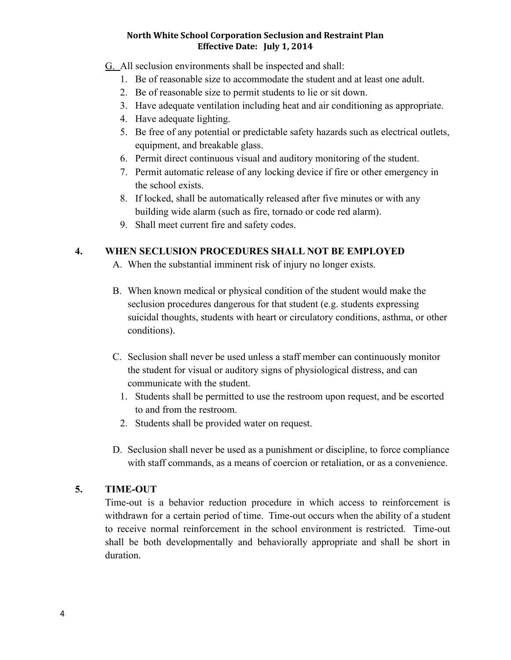- G. All seclusion environments shall be inspected and shall:
	- 1. Be of reasonable size to accommodate the student and at least one adult.
	- 2. Be of reasonable size to permit students to lie or sit down.
	- 3. Have adequate ventilation including heat and air conditioning as appropriate.
	- 4. Have adequate lighting.
	- 5. Be free of any potential or predictable safety hazards such as electrical outlets, equipment, and breakable glass.
	- 6. Permit direct continuous visual and auditory monitoring of the student.
	- 7. Permit automatic release of any locking device if fire or other emergency in the school exists.
	- 8. If locked, shall be automatically released after five minutes or with any building wide alarm (such as fire, tornado or code red alarm).
	- 9. Shall meet current fire and safety codes.

## **4. WHEN SECLUSION PROCEDURES SHALL NOT BE EMPLOYED**

- A. When the substantial imminent risk of injury no longer exists.
- B. When known medical or physical condition of the student would make the seclusion procedures dangerous for that student (e.g. students expressing suicidal thoughts, students with heart or circulatory conditions, asthma, or other conditions).
- C. Seclusion shall never be used unless a staff member can continuously monitor the student for visual or auditory signs of physiological distress, and can communicate with the student.
	- 1. Students shall be permitted to use the restroom upon request, and be escorted to and from the restroom.
	- 2. Students shall be provided water on request.
- D. Seclusion shall never be used as a punishment or discipline, to force compliance with staff commands, as a means of coercion or retaliation, or as a convenience.

# **5. TIME-OUT**

Time-out is a behavior reduction procedure in which access to reinforcement is withdrawn for a certain period of time. Time-out occurs when the ability of a student to receive normal reinforcement in the school environment is restricted. Time-out shall be both developmentally and behaviorally appropriate and shall be short in duration.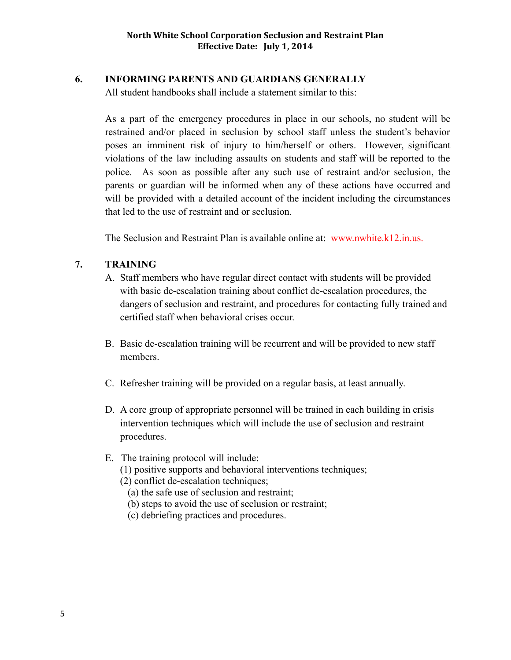## **6. INFORMING PARENTS AND GUARDIANS GENERALLY**

All student handbooks shall include a statement similar to this:

As a part of the emergency procedures in place in our schools, no student will be restrained and/or placed in seclusion by school staff unless the student's behavior poses an imminent risk of injury to him/herself or others. However, significant violations of the law including assaults on students and staff will be reported to the police. As soon as possible after any such use of restraint and/or seclusion, the parents or guardian will be informed when any of these actions have occurred and will be provided with a detailed account of the incident including the circumstances that led to the use of restraint and or seclusion.

The Seclusion and Restraint Plan is available online at: www.nwhite.k12.in.us.

## **7. TRAINING**

- A. Staff members who have regular direct contact with students will be provided with basic de-escalation training about conflict de-escalation procedures, the dangers of seclusion and restraint, and procedures for contacting fully trained and certified staff when behavioral crises occur.
- B. Basic de-escalation training will be recurrent and will be provided to new staff members.
- C. Refresher training will be provided on a regular basis, at least annually.
- D. A core group of appropriate personnel will be trained in each building in crisis intervention techniques which will include the use of seclusion and restraint procedures.

### E. The training protocol will include:

(1) positive supports and behavioral interventions techniques;

(2) conflict de-escalation techniques;

- (a) the safe use of seclusion and restraint;
- (b) steps to avoid the use of seclusion or restraint;
- (c) debriefing practices and procedures.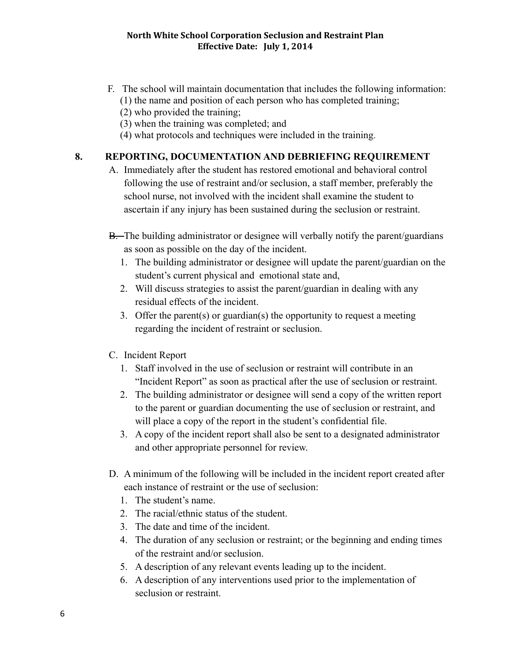- F. The school will maintain documentation that includes the following information: (1) the name and position of each person who has completed training;
	- (2) who provided the training;
	- (3) when the training was completed; and
	- (4) what protocols and techniques were included in the training.

# **8. REPORTING, DOCUMENTATION AND DEBRIEFING REQUIREMENT**

- A. Immediately after the student has restored emotional and behavioral control following the use of restraint and/or seclusion, a staff member, preferably the school nurse, not involved with the incident shall examine the student to ascertain if any injury has been sustained during the seclusion or restraint.
- $B$ . The building administrator or designee will verbally notify the parent/guardians as soon as possible on the day of the incident.
	- 1. The building administrator or designee will update the parent/guardian on the student's current physical and emotional state and,
	- 2. Will discuss strategies to assist the parent/guardian in dealing with any residual effects of the incident.
	- 3. Offer the parent(s) or guardian(s) the opportunity to request a meeting regarding the incident of restraint or seclusion.
- C. Incident Report
	- 1. Staff involved in the use of seclusion or restraint will contribute in an "Incident Report" as soon as practical after the use of seclusion or restraint.
	- 2. The building administrator or designee will send a copy of the written report to the parent or guardian documenting the use of seclusion or restraint, and will place a copy of the report in the student's confidential file.
	- 3. A copy of the incident report shall also be sent to a designated administrator and other appropriate personnel for review.
- D. A minimum of the following will be included in the incident report created after each instance of restraint or the use of seclusion:
	- 1. The student's name.
	- 2. The racial/ethnic status of the student.
	- 3. The date and time of the incident.
	- 4. The duration of any seclusion or restraint; or the beginning and ending times of the restraint and/or seclusion.
	- 5. A description of any relevant events leading up to the incident.
	- 6. A description of any interventions used prior to the implementation of seclusion or restraint.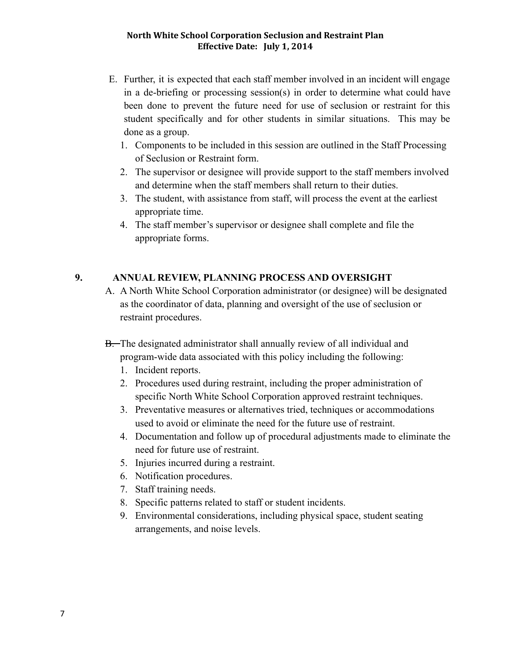- E. Further, it is expected that each staff member involved in an incident will engage in a de-briefing or processing session(s) in order to determine what could have been done to prevent the future need for use of seclusion or restraint for this student specifically and for other students in similar situations. This may be done as a group.
	- 1. Components to be included in this session are outlined in the Staff Processing of Seclusion or Restraint form.
	- 2. The supervisor or designee will provide support to the staff members involved and determine when the staff members shall return to their duties.
	- 3. The student, with assistance from staff, will process the event at the earliest appropriate time.
	- 4. The staff member's supervisor or designee shall complete and file the appropriate forms.

# **9. ANNUAL REVIEW, PLANNING PROCESS AND OVERSIGHT**

- A. A North White School Corporation administrator (or designee) will be designated as the coordinator of data, planning and oversight of the use of seclusion or restraint procedures.
- B. The designated administrator shall annually review of all individual and program-wide data associated with this policy including the following:
	- 1. Incident reports.
	- 2. Procedures used during restraint, including the proper administration of specific North White School Corporation approved restraint techniques.
	- 3. Preventative measures or alternatives tried, techniques or accommodations used to avoid or eliminate the need for the future use of restraint.
	- 4. Documentation and follow up of procedural adjustments made to eliminate the need for future use of restraint.
	- 5. Injuries incurred during a restraint.
	- 6. Notification procedures.
	- 7. Staff training needs.
	- 8. Specific patterns related to staff or student incidents.
	- 9. Environmental considerations, including physical space, student seating arrangements, and noise levels.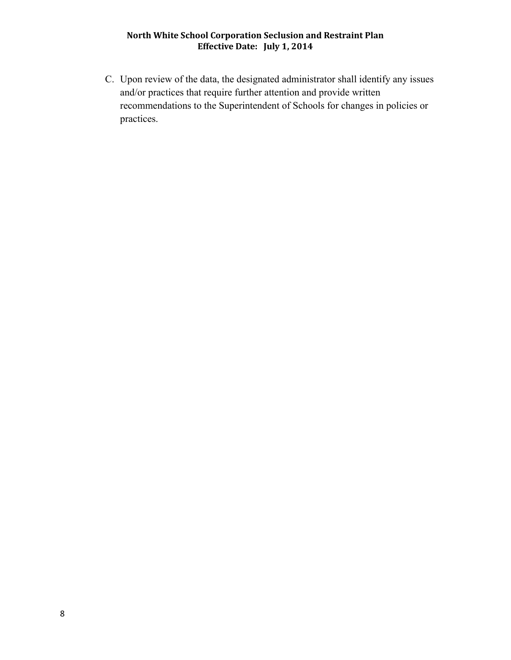C. Upon review of the data, the designated administrator shall identify any issues and/or practices that require further attention and provide written recommendations to the Superintendent of Schools for changes in policies or practices.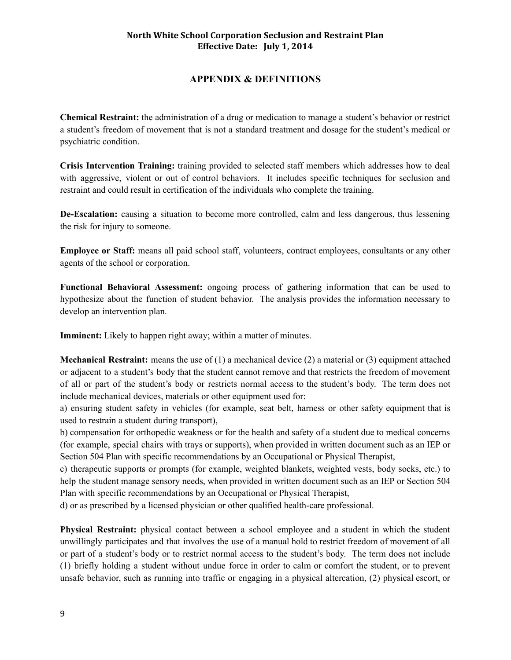### **APPENDIX & DEFINITIONS**

**Chemical Restraint:** the administration of a drug or medication to manage a student's behavior or restrict a student's freedom of movement that is not a standard treatment and dosage for the student's medical or psychiatric condition.

**Crisis Intervention Training:** training provided to selected staff members which addresses how to deal with aggressive, violent or out of control behaviors. It includes specific techniques for seclusion and restraint and could result in certification of the individuals who complete the training.

**De-Escalation:** causing a situation to become more controlled, calm and less dangerous, thus lessening the risk for injury to someone.

**Employee or Staff:** means all paid school staff, volunteers, contract employees, consultants or any other agents of the school or corporation.

**Functional Behavioral Assessment:** ongoing process of gathering information that can be used to hypothesize about the function of student behavior. The analysis provides the information necessary to develop an intervention plan.

**Imminent:** Likely to happen right away; within a matter of minutes.

**Mechanical Restraint:** means the use of (1) a mechanical device (2) a material or (3) equipment attached or adjacent to a student's body that the student cannot remove and that restricts the freedom of movement of all or part of the student's body or restricts normal access to the student's body. The term does not include mechanical devices, materials or other equipment used for:

a) ensuring student safety in vehicles (for example, seat belt, harness or other safety equipment that is used to restrain a student during transport),

b) compensation for orthopedic weakness or for the health and safety of a student due to medical concerns (for example, special chairs with trays or supports), when provided in written document such as an IEP or Section 504 Plan with specific recommendations by an Occupational or Physical Therapist,

c) therapeutic supports or prompts (for example, weighted blankets, weighted vests, body socks, etc.) to help the student manage sensory needs, when provided in written document such as an IEP or Section 504 Plan with specific recommendations by an Occupational or Physical Therapist,

d) or as prescribed by a licensed physician or other qualified health-care professional.

**Physical Restraint:** physical contact between a school employee and a student in which the student unwillingly participates and that involves the use of a manual hold to restrict freedom of movement of all or part of a student's body or to restrict normal access to the student's body. The term does not include (1) briefly holding a student without undue force in order to calm or comfort the student, or to prevent unsafe behavior, such as running into traffic or engaging in a physical altercation, (2) physical escort, or